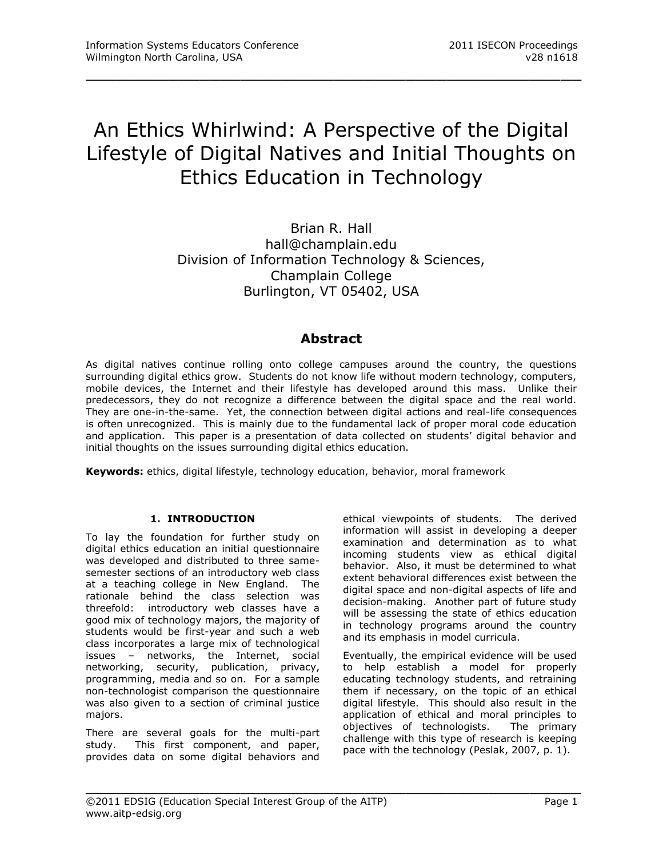# An Ethics Whirlwind: A Perspective of the Digital Lifestyle of Digital Natives and Initial Thoughts on Ethics Education in Technology

\_\_\_\_\_\_\_\_\_\_\_\_\_\_\_\_\_\_\_\_\_\_\_\_\_\_\_\_\_\_\_\_\_\_\_\_\_\_\_\_\_\_\_\_\_\_\_\_

Brian R. Hall hall@champlain.edu Division of Information Technology & Sciences, Champlain College Burlington, VT 05402, USA

# **Abstract**

As digital natives continue rolling onto college campuses around the country, the questions surrounding digital ethics grow. Students do not know life without modern technology, computers, mobile devices, the Internet and their lifestyle has developed around this mass. Unlike their predecessors, they do not recognize a difference between the digital space and the real world. They are one-in-the-same. Yet, the connection between digital actions and real-life consequences is often unrecognized. This is mainly due to the fundamental lack of proper moral code education and application. This paper is a presentation of data collected on students' digital behavior and initial thoughts on the issues surrounding digital ethics education.

\_\_\_\_\_\_\_\_\_\_\_\_\_\_\_\_\_\_\_\_\_\_\_\_\_\_\_\_\_\_\_\_\_\_\_\_\_\_\_\_\_\_\_\_\_\_\_\_

**Keywords:** ethics, digital lifestyle, technology education, behavior, moral framework

# **1. INTRODUCTION**

To lay the foundation for further study on digital ethics education an initial questionnaire was developed and distributed to three samesemester sections of an introductory web class at a teaching college in New England. The rationale behind the class selection was threefold: introductory web classes have a good mix of technology majors, the majority of students would be first-year and such a web class incorporates a large mix of technological issues – networks, the Internet, social networking, security, publication, privacy, programming, media and so on. For a sample non-technologist comparison the questionnaire was also given to a section of criminal justice majors.

There are several goals for the multi-part study. This first component, and paper, provides data on some digital behaviors and

ethical viewpoints of students. The derived information will assist in developing a deeper examination and determination as to what incoming students view as ethical digital behavior. Also, it must be determined to what extent behavioral differences exist between the digital space and non-digital aspects of life and decision-making. Another part of future study will be assessing the state of ethics education in technology programs around the country and its emphasis in model curricula.

Eventually, the empirical evidence will be used to help establish a model for properly educating technology students, and retraining them if necessary, on the topic of an ethical digital lifestyle. This should also result in the application of ethical and moral principles to objectives of technologists. The primary challenge with this type of research is keeping pace with the technology (Peslak, 2007, p. 1).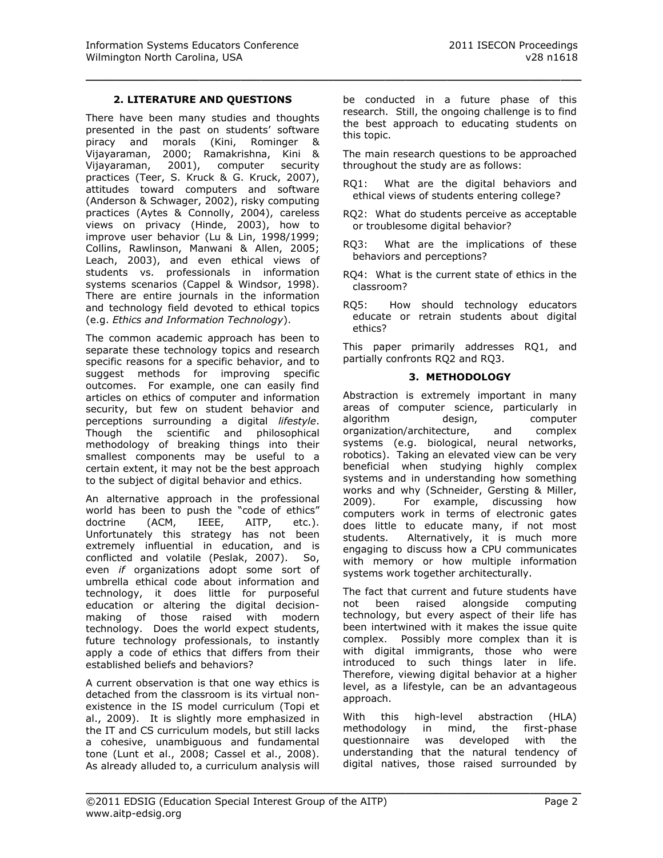### **2. LITERATURE AND QUESTIONS**

\_\_\_\_\_\_\_\_\_\_\_\_\_\_\_\_\_\_\_\_\_\_\_\_\_\_\_\_\_\_\_\_\_\_\_\_\_\_\_\_\_\_\_\_\_\_\_\_

There have been many studies and thoughts presented in the past on students' software piracy and morals (Kini, Rominger & Vijayaraman, 2000; Ramakrishna, Kini & Vijayaraman, 2001), computer security practices (Teer, S. Kruck & G. Kruck, 2007), attitudes toward computers and software (Anderson & Schwager, 2002), risky computing practices (Aytes & Connolly, 2004), careless views on privacy (Hinde, 2003), how to improve user behavior (Lu & Lin, 1998/1999; Collins, Rawlinson, Manwani & Allen, 2005; Leach, 2003), and even ethical views of students vs. professionals in information systems scenarios (Cappel & Windsor, 1998). There are entire journals in the information and technology field devoted to ethical topics (e.g. *Ethics and Information Technology*).

The common academic approach has been to separate these technology topics and research specific reasons for a specific behavior, and to suggest methods for improving specific outcomes. For example, one can easily find articles on ethics of computer and information security, but few on student behavior and perceptions surrounding a digital *lifestyle*. Though the scientific and philosophical methodology of breaking things into their smallest components may be useful to a certain extent, it may not be the best approach to the subject of digital behavior and ethics.

An alternative approach in the professional world has been to push the "code of ethics" doctrine (ACM, IEEE, AITP, etc.). Unfortunately this strategy has not been extremely influential in education, and is conflicted and volatile (Peslak, 2007). So, even *if* organizations adopt some sort of umbrella ethical code about information and technology, it does little for purposeful education or altering the digital decisionmaking of those raised with modern technology. Does the world expect students, future technology professionals, to instantly apply a code of ethics that differs from their established beliefs and behaviors?

A current observation is that one way ethics is detached from the classroom is its virtual nonexistence in the IS model curriculum (Topi et al., 2009). It is slightly more emphasized in the IT and CS curriculum models, but still lacks a cohesive, unambiguous and fundamental tone (Lunt et al., 2008; Cassel et al., 2008). As already alluded to, a curriculum analysis will

be conducted in a future phase of this research. Still, the ongoing challenge is to find the best approach to educating students on this topic.

The main research questions to be approached throughout the study are as follows:

- RQ1: What are the digital behaviors and ethical views of students entering college?
- RQ2: What do students perceive as acceptable or troublesome digital behavior?
- RQ3: What are the implications of these behaviors and perceptions?
- RQ4: What is the current state of ethics in the classroom?
- RQ5: How should technology educators educate or retrain students about digital ethics?

This paper primarily addresses RQ1, and partially confronts RQ2 and RQ3.

#### **3. METHODOLOGY**

Abstraction is extremely important in many areas of computer science, particularly in algorithm design, computer organization/architecture, and complex systems (e.g. biological, neural networks, robotics). Taking an elevated view can be very beneficial when studying highly complex systems and in understanding how something works and why (Schneider, Gersting & Miller, 2009). For example, discussing how computers work in terms of electronic gates does little to educate many, if not most students. Alternatively, it is much more engaging to discuss how a CPU communicates with memory or how multiple information systems work together architecturally.

The fact that current and future students have not been raised alongside computing technology, but every aspect of their life has been intertwined with it makes the issue quite complex. Possibly more complex than it is with digital immigrants, those who were introduced to such things later in life. Therefore, viewing digital behavior at a higher level, as a lifestyle, can be an advantageous approach.

With this high-level abstraction (HLA) methodology in mind, the first-phase questionnaire was developed with the understanding that the natural tendency of digital natives, those raised surrounded by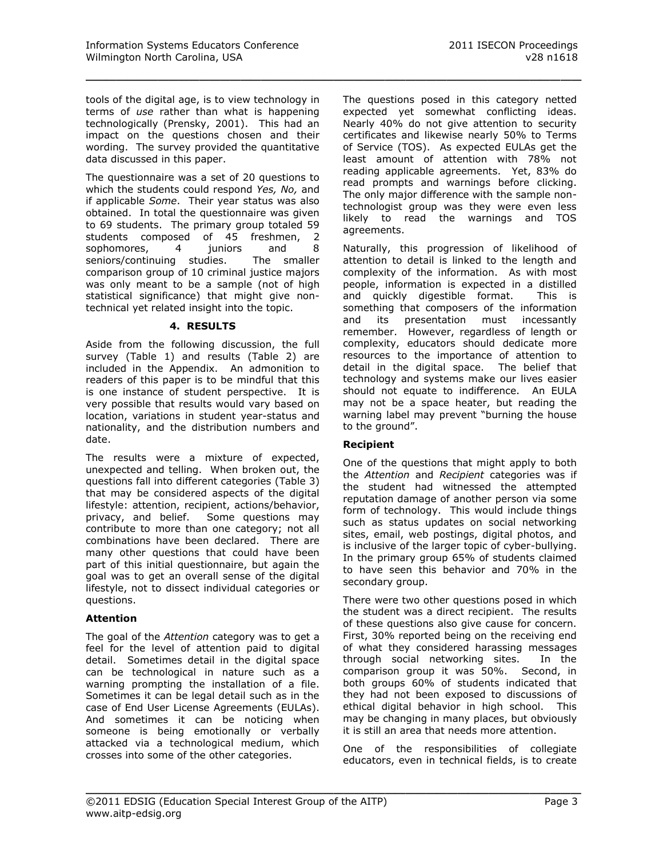tools of the digital age, is to view technology in terms of *use* rather than what is happening technologically (Prensky, 2001). This had an impact on the questions chosen and their wording. The survey provided the quantitative data discussed in this paper.

The questionnaire was a set of 20 questions to which the students could respond *Yes, No,* and if applicable *Some*. Their year status was also obtained. In total the questionnaire was given to 69 students. The primary group totaled 59 students composed of 45 freshmen, 2 sophomores, 4 juniors and 8 seniors/continuing studies. The smaller comparison group of 10 criminal justice majors was only meant to be a sample (not of high statistical significance) that might give nontechnical yet related insight into the topic.

#### **4. RESULTS**

Aside from the following discussion, the full survey (Table 1) and results (Table 2) are included in the Appendix. An admonition to readers of this paper is to be mindful that this is one instance of student perspective. It is very possible that results would vary based on location, variations in student year-status and nationality, and the distribution numbers and date.

The results were a mixture of expected, unexpected and telling. When broken out, the questions fall into different categories (Table 3) that may be considered aspects of the digital lifestyle: attention, recipient, actions/behavior, privacy, and belief. Some questions may contribute to more than one category; not all combinations have been declared. There are many other questions that could have been part of this initial questionnaire, but again the goal was to get an overall sense of the digital lifestyle, not to dissect individual categories or questions.

#### **Attention**

The goal of the *Attention* category was to get a feel for the level of attention paid to digital detail. Sometimes detail in the digital space can be technological in nature such as a warning prompting the installation of a file. Sometimes it can be legal detail such as in the case of End User License Agreements (EULAs). And sometimes it can be noticing when someone is being emotionally or verbally attacked via a technological medium, which crosses into some of the other categories.

The questions posed in this category netted expected yet somewhat conflicting ideas. Nearly 40% do not give attention to security certificates and likewise nearly 50% to Terms of Service (TOS). As expected EULAs get the least amount of attention with 78% not reading applicable agreements. Yet, 83% do read prompts and warnings before clicking. The only major difference with the sample nontechnologist group was they were even less likely to read the warnings and TOS agreements.

Naturally, this progression of likelihood of attention to detail is linked to the length and complexity of the information. As with most people, information is expected in a distilled and quickly digestible format. This is something that composers of the information and its presentation must incessantly remember. However, regardless of length or complexity, educators should dedicate more resources to the importance of attention to detail in the digital space. The belief that technology and systems make our lives easier should not equate to indifference. An EULA may not be a space heater, but reading the warning label may prevent "burning the house to the ground".

# **Recipient**

\_\_\_\_\_\_\_\_\_\_\_\_\_\_\_\_\_\_\_\_\_\_\_\_\_\_\_\_\_\_\_\_\_\_\_\_\_\_\_\_\_\_\_\_\_\_\_\_

One of the questions that might apply to both the *Attention* and *Recipient* categories was if the student had witnessed the attempted reputation damage of another person via some form of technology. This would include things such as status updates on social networking sites, email, web postings, digital photos, and is inclusive of the larger topic of cyber-bullying. In the primary group 65% of students claimed to have seen this behavior and 70% in the secondary group.

There were two other questions posed in which the student was a direct recipient. The results of these questions also give cause for concern. First, 30% reported being on the receiving end of what they considered harassing messages through social networking sites. In the comparison group it was 50%. Second, in both groups 60% of students indicated that they had not been exposed to discussions of ethical digital behavior in high school. This may be changing in many places, but obviously it is still an area that needs more attention.

One of the responsibilities of collegiate educators, even in technical fields, is to create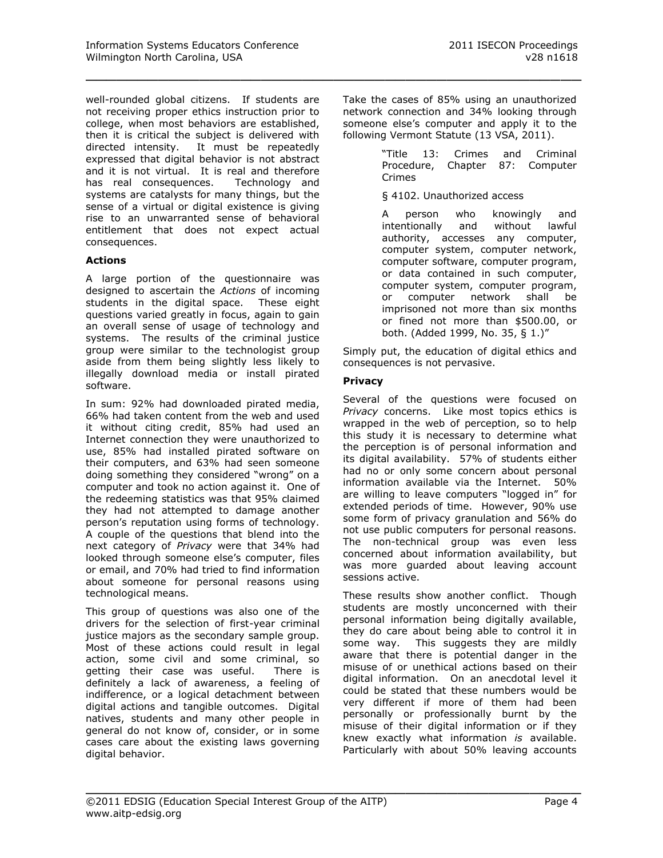well-rounded global citizens. If students are not receiving proper ethics instruction prior to college, when most behaviors are established, then it is critical the subject is delivered with directed intensity. It must be repeatedly expressed that digital behavior is not abstract and it is not virtual. It is real and therefore has real consequences. Technology and systems are catalysts for many things, but the sense of a virtual or digital existence is giving rise to an unwarranted sense of behavioral entitlement that does not expect actual consequences.

#### **Actions**

A large portion of the questionnaire was designed to ascertain the *Actions* of incoming students in the digital space. These eight questions varied greatly in focus, again to gain an overall sense of usage of technology and systems. The results of the criminal justice group were similar to the technologist group aside from them being slightly less likely to illegally download media or install pirated software.

In sum: 92% had downloaded pirated media, 66% had taken content from the web and used it without citing credit, 85% had used an Internet connection they were unauthorized to use, 85% had installed pirated software on their computers, and 63% had seen someone doing something they considered "wrong" on a computer and took no action against it. One of the redeeming statistics was that 95% claimed they had not attempted to damage another person's reputation using forms of technology. A couple of the questions that blend into the next category of *Privacy* were that 34% had looked through someone else's computer, files or email, and 70% had tried to find information about someone for personal reasons using technological means.

This group of questions was also one of the drivers for the selection of first-year criminal justice majors as the secondary sample group. Most of these actions could result in legal action, some civil and some criminal, so getting their case was useful. There is definitely a lack of awareness, a feeling of indifference, or a logical detachment between digital actions and tangible outcomes. Digital natives, students and many other people in general do not know of, consider, or in some cases care about the existing laws governing digital behavior.

Take the cases of 85% using an unauthorized network connection and 34% looking through someone else's computer and apply it to the following Vermont Statute (13 VSA, 2011).

> "Title 13: Crimes and Criminal Procedure, Chapter 87: Computer Crimes

§ 4102. Unauthorized access

A person who knowingly and intentionally and without lawful authority, accesses any computer, computer system, computer network, computer software, computer program, or data contained in such computer, computer system, computer program, or computer network shall be imprisoned not more than six months or fined not more than \$500.00, or both. (Added 1999, No. 35, § 1.)"

Simply put, the education of digital ethics and consequences is not pervasive.

# **Privacy**

\_\_\_\_\_\_\_\_\_\_\_\_\_\_\_\_\_\_\_\_\_\_\_\_\_\_\_\_\_\_\_\_\_\_\_\_\_\_\_\_\_\_\_\_\_\_\_\_

Several of the questions were focused on *Privacy* concerns. Like most topics ethics is wrapped in the web of perception, so to help this study it is necessary to determine what the perception is of personal information and its digital availability. 57% of students either had no or only some concern about personal information available via the Internet. 50% are willing to leave computers "logged in" for extended periods of time. However, 90% use some form of privacy granulation and 56% do not use public computers for personal reasons. The non-technical group was even less concerned about information availability, but was more guarded about leaving account sessions active.

These results show another conflict. Though students are mostly unconcerned with their personal information being digitally available, they do care about being able to control it in some way. This suggests they are mildly aware that there is potential danger in the misuse of or unethical actions based on their digital information. On an anecdotal level it could be stated that these numbers would be very different if more of them had been personally or professionally burnt by the misuse of their digital information or if they knew exactly what information *is* available. Particularly with about 50% leaving accounts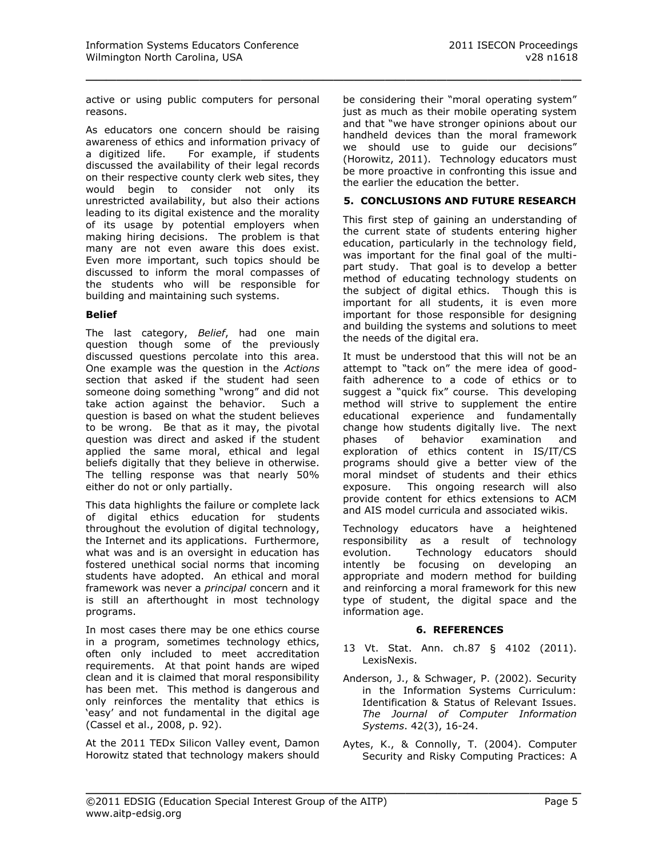active or using public computers for personal reasons.

\_\_\_\_\_\_\_\_\_\_\_\_\_\_\_\_\_\_\_\_\_\_\_\_\_\_\_\_\_\_\_\_\_\_\_\_\_\_\_\_\_\_\_\_\_\_\_\_

As educators one concern should be raising awareness of ethics and information privacy of a digitized life. For example, if students discussed the availability of their legal records on their respective county clerk web sites, they would begin to consider not only its unrestricted availability, but also their actions leading to its digital existence and the morality of its usage by potential employers when making hiring decisions. The problem is that many are not even aware this does exist. Even more important, such topics should be discussed to inform the moral compasses of the students who will be responsible for building and maintaining such systems.

#### **Belief**

The last category, *Belief*, had one main question though some of the previously discussed questions percolate into this area. One example was the question in the *Actions* section that asked if the student had seen someone doing something "wrong" and did not take action against the behavior. Such a question is based on what the student believes to be wrong. Be that as it may, the pivotal question was direct and asked if the student applied the same moral, ethical and legal beliefs digitally that they believe in otherwise. The telling response was that nearly 50% either do not or only partially.

This data highlights the failure or complete lack of digital ethics education for students throughout the evolution of digital technology, the Internet and its applications. Furthermore, what was and is an oversight in education has fostered unethical social norms that incoming students have adopted. An ethical and moral framework was never a *principal* concern and it is still an afterthought in most technology programs.

In most cases there may be one ethics course in a program, sometimes technology ethics, often only included to meet accreditation requirements. At that point hands are wiped clean and it is claimed that moral responsibility has been met. This method is dangerous and only reinforces the mentality that ethics is 'easy' and not fundamental in the digital age (Cassel et al., 2008, p. 92).

At the 2011 TEDx Silicon Valley event, Damon Horowitz stated that technology makers should be considering their "moral operating system" just as much as their mobile operating system and that "we have stronger opinions about our handheld devices than the moral framework we should use to guide our decisions" (Horowitz, 2011). Technology educators must be more proactive in confronting this issue and the earlier the education the better.

#### **5. CONCLUSIONS AND FUTURE RESEARCH**

This first step of gaining an understanding of the current state of students entering higher education, particularly in the technology field, was important for the final goal of the multipart study. That goal is to develop a better method of educating technology students on the subject of digital ethics. Though this is important for all students, it is even more important for those responsible for designing and building the systems and solutions to meet the needs of the digital era.

It must be understood that this will not be an attempt to "tack on" the mere idea of goodfaith adherence to a code of ethics or to suggest a "quick fix" course. This developing method will strive to supplement the entire educational experience and fundamentally change how students digitally live. The next phases of behavior examination and exploration of ethics content in IS/IT/CS programs should give a better view of the moral mindset of students and their ethics exposure. This ongoing research will also provide content for ethics extensions to ACM and AIS model curricula and associated wikis.

Technology educators have a heightened responsibility as a result of technology evolution. Technology educators should intently be focusing on developing an appropriate and modern method for building and reinforcing a moral framework for this new type of student, the digital space and the information age.

#### **6. REFERENCES**

- 13 Vt. Stat. Ann. ch.87 § 4102 (2011). LexisNexis.
- Anderson, J., & Schwager, P. (2002). Security in the Information Systems Curriculum: Identification & Status of Relevant Issues. *The Journal of Computer Information Systems*. 42(3), 16-24.
- Aytes, K., & Connolly, T. (2004). Computer Security and Risky Computing Practices: A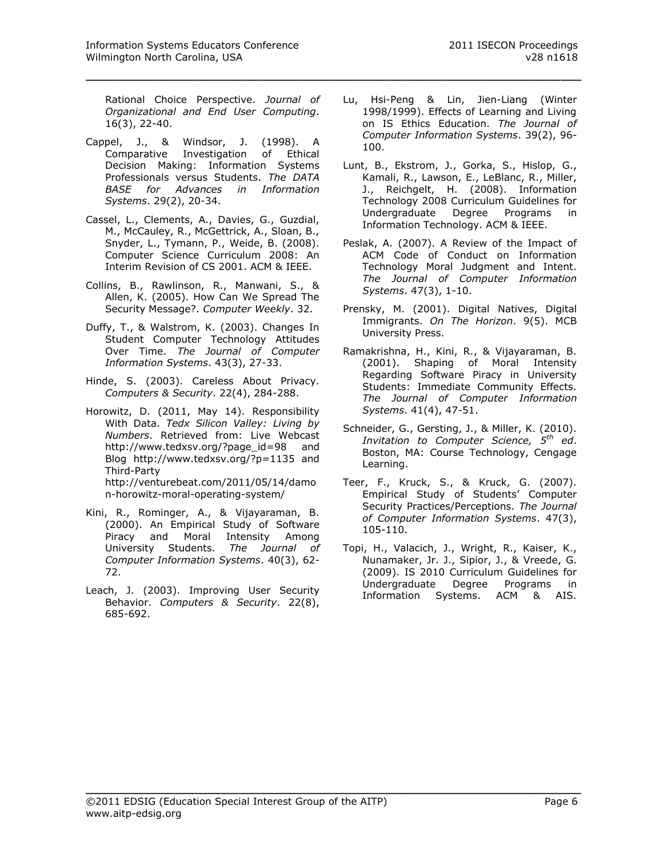Rational Choice Perspective. *Journal of Organizational and End User Computing*. 16(3), 22-40.

\_\_\_\_\_\_\_\_\_\_\_\_\_\_\_\_\_\_\_\_\_\_\_\_\_\_\_\_\_\_\_\_\_\_\_\_\_\_\_\_\_\_\_\_\_\_\_\_

- Cappel, J., & Windsor, J. (1998). A Comparative Investigation of Ethical Decision Making: Information Systems Professionals versus Students. *The DATA BASE for Advances in Information Systems*. 29(2), 20-34.
- Cassel, L., Clements, A., Davies, G., Guzdial, M., McCauley, R., McGettrick, A., Sloan, B., Snyder, L., Tymann, P., Weide, B. (2008). Computer Science Curriculum 2008: An Interim Revision of CS 2001. ACM & IEEE.
- Collins, B., Rawlinson, R., Manwani, S., & Allen, K. (2005). How Can We Spread The Security Message?. *Computer Weekly*. 32.
- Duffy, T., & Walstrom, K. (2003). Changes In Student Computer Technology Attitudes Over Time. *The Journal of Computer Information Systems*. 43(3), 27-33.
- Hinde, S. (2003). Careless About Privacy. *Computers & Security*. 22(4), 284-288.
- Horowitz, D. (2011, May 14). Responsibility With Data. *Tedx Silicon Valley: Living by Numbers*. Retrieved from: Live Webcast http://www.tedxsv.org/?page\_id=98 and Blog http://www.tedxsv.org/?p=1135 and Third-Party http://venturebeat.com/2011/05/14/damo n-horowitz-moral-operating-system/
- Kini, R., Rominger, A., & Vijayaraman, B. (2000). An Empirical Study of Software Piracy and Moral Intensity Among University Students. *The Journal of Computer Information Systems*. 40(3), 62- 72.
- Leach, J. (2003). Improving User Security Behavior. *Computers & Security*. 22(8), 685-692.
- Lu, Hsi-Peng & Lin, Jien-Liang (Winter 1998/1999). Effects of Learning and Living on IS Ethics Education. *The Journal of Computer Information Systems*. 39(2), 96- 100.
- Lunt, B., Ekstrom, J., Gorka, S., Hislop, G., Kamali, R., Lawson, E., LeBlanc, R., Miller, J., Reichgelt, H. (2008). Information Technology 2008 Curriculum Guidelines for Undergraduate Degree Programs in Information Technology. ACM & IEEE.
- Peslak, A. (2007). A Review of the Impact of ACM Code of Conduct on Information Technology Moral Judgment and Intent. *The Journal of Computer Information Systems*. 47(3), 1-10.
- Prensky, M. (2001). Digital Natives, Digital Immigrants. *On The Horizon*. 9(5). MCB University Press.
- Ramakrishna, H., Kini, R., & Vijayaraman, B. (2001). Shaping of Moral Intensity Regarding Software Piracy in University Students: Immediate Community Effects. *The Journal of Computer Information Systems*. 41(4), 47-51.
- Schneider, G., Gersting, J., & Miller, K. (2010). *Invitation to Computer Science, 5th ed*. Boston, MA: Course Technology, Cengage Learning.
- Teer, F., Kruck, S., & Kruck, G. (2007). Empirical Study of Students' Computer Security Practices/Perceptions. *The Journal of Computer Information Systems*. 47(3), 105-110.
- Topi, H., Valacich, J., Wright, R., Kaiser, K., Nunamaker, Jr. J., Sipior, J., & Vreede, G. (2009). IS 2010 Curriculum Guidelines for Undergraduate Degree Programs in Information Systems. ACM & AIS.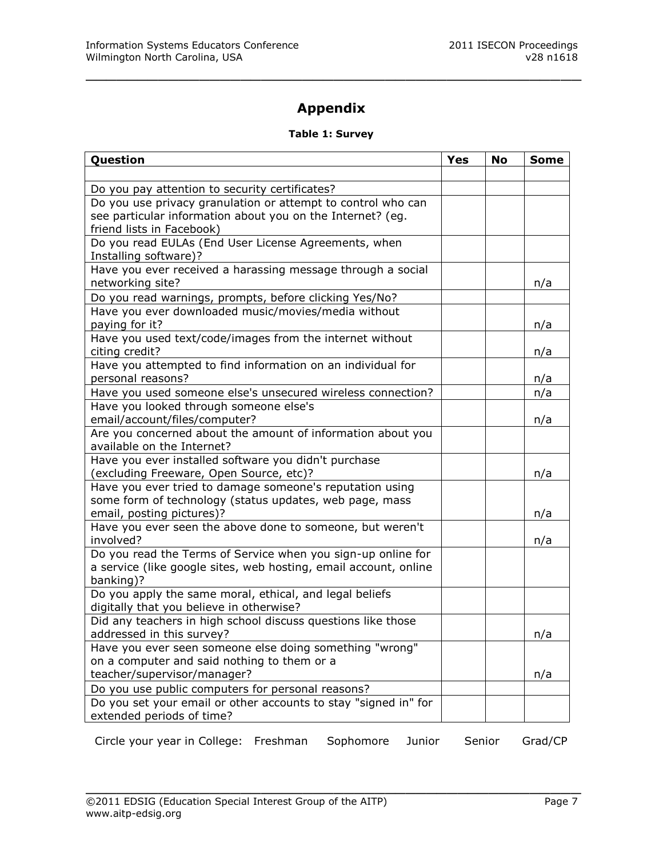# **Appendix**

\_\_\_\_\_\_\_\_\_\_\_\_\_\_\_\_\_\_\_\_\_\_\_\_\_\_\_\_\_\_\_\_\_\_\_\_\_\_\_\_\_\_\_\_\_\_\_\_

# **Table 1: Survey**

| Question                                                                                                            | <b>Yes</b> | No | <b>Some</b> |
|---------------------------------------------------------------------------------------------------------------------|------------|----|-------------|
|                                                                                                                     |            |    |             |
| Do you pay attention to security certificates?                                                                      |            |    |             |
| Do you use privacy granulation or attempt to control who can                                                        |            |    |             |
| see particular information about you on the Internet? (eg.                                                          |            |    |             |
| friend lists in Facebook)<br>Do you read EULAs (End User License Agreements, when                                   |            |    |             |
| Installing software)?                                                                                               |            |    |             |
| Have you ever received a harassing message through a social                                                         |            |    |             |
| networking site?                                                                                                    |            |    | n/a         |
| Do you read warnings, prompts, before clicking Yes/No?                                                              |            |    |             |
| Have you ever downloaded music/movies/media without                                                                 |            |    |             |
| paying for it?                                                                                                      |            |    | n/a         |
| Have you used text/code/images from the internet without                                                            |            |    |             |
| citing credit?<br>Have you attempted to find information on an individual for                                       |            |    | n/a         |
| personal reasons?                                                                                                   |            |    | n/a         |
| Have you used someone else's unsecured wireless connection?                                                         |            |    | n/a         |
| Have you looked through someone else's                                                                              |            |    |             |
| email/account/files/computer?                                                                                       |            |    | n/a         |
| Are you concerned about the amount of information about you                                                         |            |    |             |
| available on the Internet?                                                                                          |            |    |             |
| Have you ever installed software you didn't purchase                                                                |            |    |             |
| (excluding Freeware, Open Source, etc)?                                                                             |            |    | n/a         |
| Have you ever tried to damage someone's reputation using<br>some form of technology (status updates, web page, mass |            |    |             |
| email, posting pictures)?                                                                                           |            |    | n/a         |
| Have you ever seen the above done to someone, but weren't                                                           |            |    |             |
| involved?                                                                                                           |            |    | n/a         |
| Do you read the Terms of Service when you sign-up online for                                                        |            |    |             |
| a service (like google sites, web hosting, email account, online                                                    |            |    |             |
| banking)?                                                                                                           |            |    |             |
| Do you apply the same moral, ethical, and legal beliefs<br>digitally that you believe in otherwise?                 |            |    |             |
| Did any teachers in high school discuss questions like those                                                        |            |    |             |
| addressed in this survey?                                                                                           |            |    | n/a         |
| Have you ever seen someone else doing something "wrong"                                                             |            |    |             |
| on a computer and said nothing to them or a                                                                         |            |    |             |
| teacher/supervisor/manager?                                                                                         |            |    | n/a         |
| Do you use public computers for personal reasons?                                                                   |            |    |             |
| Do you set your email or other accounts to stay "signed in" for                                                     |            |    |             |
| extended periods of time?                                                                                           |            |    |             |

Circle your year in College: Freshman Sophomore Junior Senior Grad/CP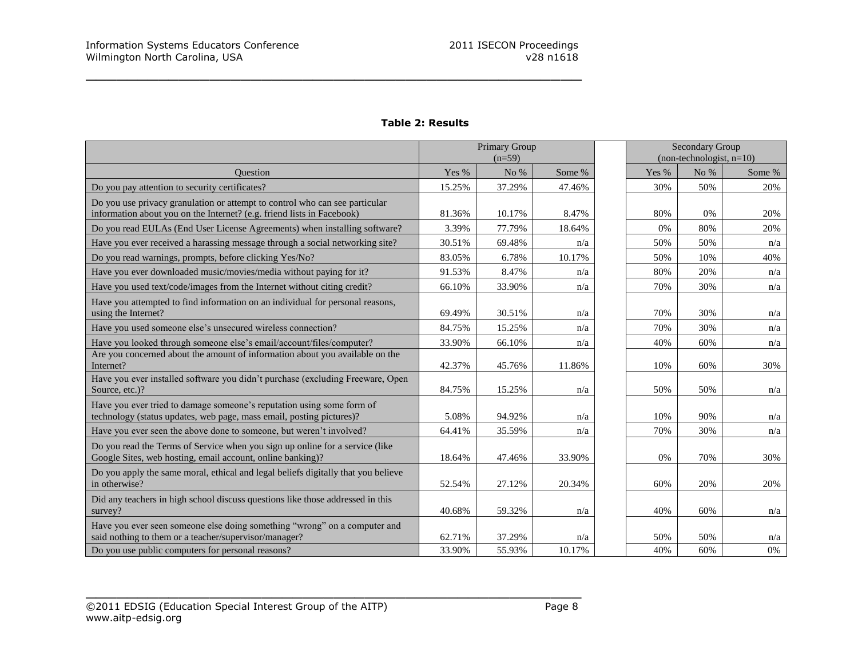|                                                                                                                                                       | Primary Group<br>$(n=59)$ |        |        |         | <b>Secondary Group</b><br>$non-technologist, n=10)$ |        |
|-------------------------------------------------------------------------------------------------------------------------------------------------------|---------------------------|--------|--------|---------|-----------------------------------------------------|--------|
| <b>Ouestion</b>                                                                                                                                       | Yes %                     | No $%$ | Some % | Yes $%$ | No $%$                                              | Some % |
| Do you pay attention to security certificates?                                                                                                        | 15.25%                    | 37.29% | 47.46% | 30%     | 50%                                                 | 20%    |
| Do you use privacy granulation or attempt to control who can see particular<br>information about you on the Internet? (e.g. friend lists in Facebook) | 81.36%                    | 10.17% | 8.47%  | 80%     | 0%                                                  | 20%    |
| Do you read EULAs (End User License Agreements) when installing software?                                                                             | 3.39%                     | 77.79% | 18.64% | 0%      | 80%                                                 | 20%    |
| Have you ever received a harassing message through a social networking site?                                                                          | 30.51%                    | 69.48% | n/a    | 50%     | 50%                                                 | n/a    |
| Do you read warnings, prompts, before clicking Yes/No?                                                                                                | 83.05%                    | 6.78%  | 10.17% | 50%     | 10%                                                 | 40%    |
| Have you ever downloaded music/movies/media without paying for it?                                                                                    | 91.53%                    | 8.47%  | n/a    | 80%     | 20%                                                 | n/a    |
| Have you used text/code/images from the Internet without citing credit?                                                                               | 66.10%                    | 33.90% | n/a    | 70%     | 30%                                                 | n/a    |
| Have you attempted to find information on an individual for personal reasons,<br>using the Internet?                                                  | 69.49%                    | 30.51% | n/a    | 70%     | 30%                                                 | n/a    |
| Have you used someone else's unsecured wireless connection?                                                                                           | 84.75%                    | 15.25% | n/a    | 70%     | 30%                                                 | n/a    |
| Have you looked through someone else's email/account/files/computer?                                                                                  | 33.90%                    | 66.10% | n/a    | 40%     | 60%                                                 | n/a    |
| Are you concerned about the amount of information about you available on the<br>Internet?                                                             | 42.37%                    | 45.76% | 11.86% | 10%     | 60%                                                 | 30%    |
| Have you ever installed software you didn't purchase (excluding Freeware, Open<br>Source, etc.)?                                                      | 84.75%                    | 15.25% | n/a    | 50%     | 50%                                                 | n/a    |
| Have you ever tried to damage someone's reputation using some form of<br>technology (status updates, web page, mass email, posting pictures)?         | 5.08%                     | 94.92% | n/a    | 10%     | 90%                                                 | n/a    |
| Have you ever seen the above done to someone, but weren't involved?                                                                                   | 64.41%                    | 35.59% | n/a    | 70%     | 30%                                                 | n/a    |
| Do you read the Terms of Service when you sign up online for a service (like<br>Google Sites, web hosting, email account, online banking)?            | 18.64%                    | 47.46% | 33.90% | 0%      | 70%                                                 | 30%    |
| Do you apply the same moral, ethical and legal beliefs digitally that you believe<br>in otherwise?                                                    | 52.54%                    | 27.12% | 20.34% | 60%     | 20%                                                 | 20%    |
| Did any teachers in high school discuss questions like those addressed in this<br>survey?                                                             | 40.68%                    | 59.32% | n/a    | 40%     | 60%                                                 | n/a    |
| Have you ever seen someone else doing something "wrong" on a computer and<br>said nothing to them or a teacher/supervisor/manager?                    | 62.71%                    | 37.29% | n/a    | 50%     | 50%                                                 | n/a    |
| Do you use public computers for personal reasons?                                                                                                     | 33.90%                    | 55.93% | 10.17% | 40%     | 60%                                                 | 0%     |

# **Table 2: Results**

\_\_\_\_\_\_\_\_\_\_\_\_\_\_\_\_\_\_\_\_\_\_\_\_\_\_\_\_\_\_\_\_\_\_\_\_\_\_\_\_\_\_\_\_\_\_\_\_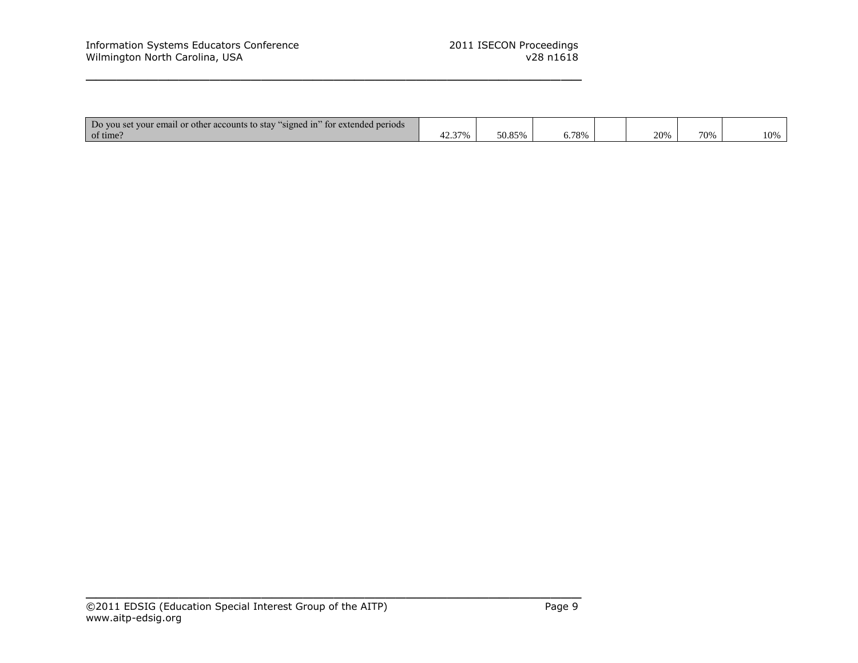| $\sim$<br>Do you set your email or other accounts to stay "<br>$\sim$ signed in $\sim$<br>tor extended periods |        |        |       |     |     |     |
|----------------------------------------------------------------------------------------------------------------|--------|--------|-------|-----|-----|-----|
| of time.                                                                                                       | 12.37% | 50.85% | 6.78% | 20% | 70% | 10% |

\_\_\_\_\_\_\_\_\_\_\_\_\_\_\_\_\_\_\_\_\_\_\_\_\_\_\_\_\_\_\_\_\_\_\_\_\_\_\_\_\_\_\_\_\_\_\_\_